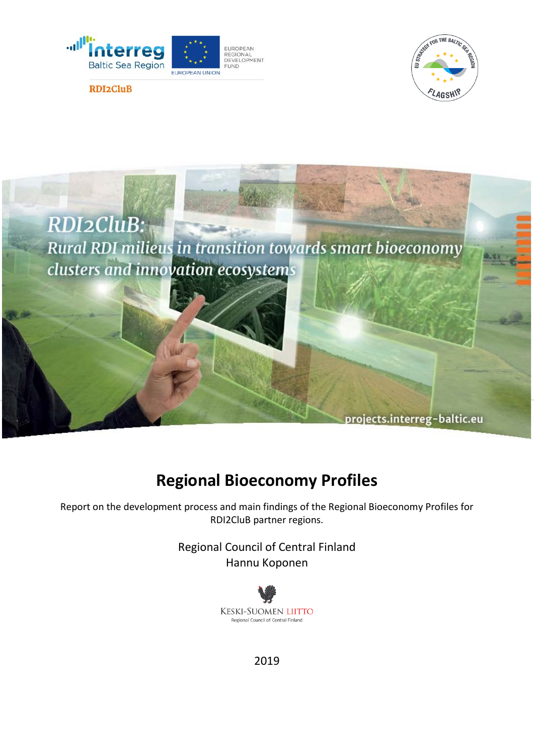





# **Regional Bioeconomy Profiles**

Report on the development process and main findings of the Regional Bioeconomy Profiles for RDI2CluB partner regions.

> Regional Council of Central Finland Hannu Koponen



2019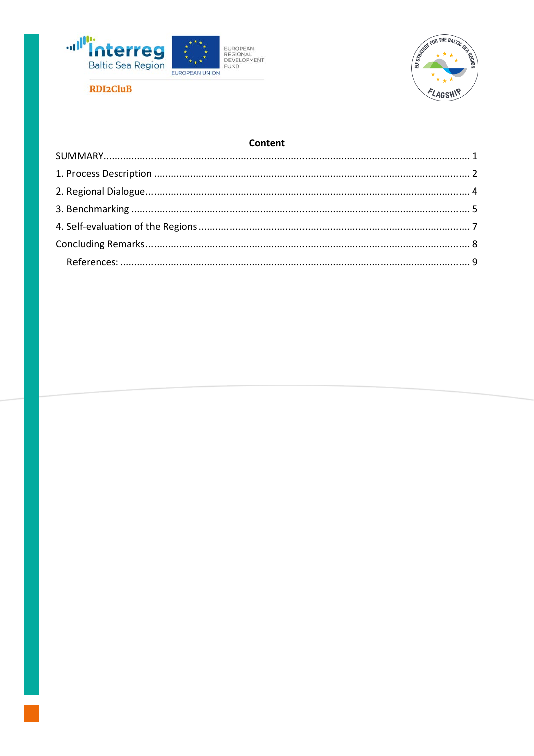



### Content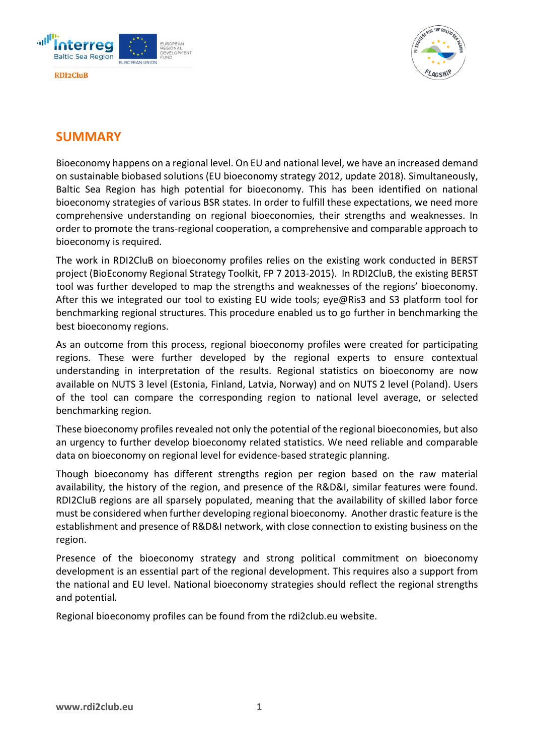





## <span id="page-2-0"></span>**SUMMARY**

Bioeconomy happens on a regional level. On EU and national level, we have an increased demand on sustainable biobased solutions (EU bioeconomy strategy 2012, update 2018). Simultaneously, Baltic Sea Region has high potential for bioeconomy. This has been identified on national bioeconomy strategies of various BSR states. In order to fulfill these expectations, we need more comprehensive understanding on regional bioeconomies, their strengths and weaknesses. In order to promote the trans-regional cooperation, a comprehensive and comparable approach to bioeconomy is required.

The work in RDI2CluB on bioeconomy profiles relies on the existing work conducted in BERST project (BioEconomy Regional Strategy Toolkit, FP 7 2013-2015). In RDI2CluB, the existing BERST tool was further developed to map the strengths and weaknesses of the regions' bioeconomy. After this we integrated our tool to existing EU wide tools; eye@Ris3 and S3 platform tool for benchmarking regional structures. This procedure enabled us to go further in benchmarking the best bioeconomy regions.

As an outcome from this process, regional bioeconomy profiles were created for participating regions. These were further developed by the regional experts to ensure contextual understanding in interpretation of the results. Regional statistics on bioeconomy are now available on NUTS 3 level (Estonia, Finland, Latvia, Norway) and on NUTS 2 level (Poland). Users of the tool can compare the corresponding region to national level average, or selected benchmarking region.

These bioeconomy profiles revealed not only the potential of the regional bioeconomies, but also an urgency to further develop bioeconomy related statistics. We need reliable and comparable data on bioeconomy on regional level for evidence-based strategic planning.

Though bioeconomy has different strengths region per region based on the raw material availability, the history of the region, and presence of the R&D&I, similar features were found. RDI2CluB regions are all sparsely populated, meaning that the availability of skilled labor force must be considered when further developing regional bioeconomy. Another drastic feature is the establishment and presence of R&D&I network, with close connection to existing business on the region.

Presence of the bioeconomy strategy and strong political commitment on bioeconomy development is an essential part of the regional development. This requires also a support from the national and EU level. National bioeconomy strategies should reflect the regional strengths and potential.

Regional bioeconomy profiles can be found from the rdi2club.eu website.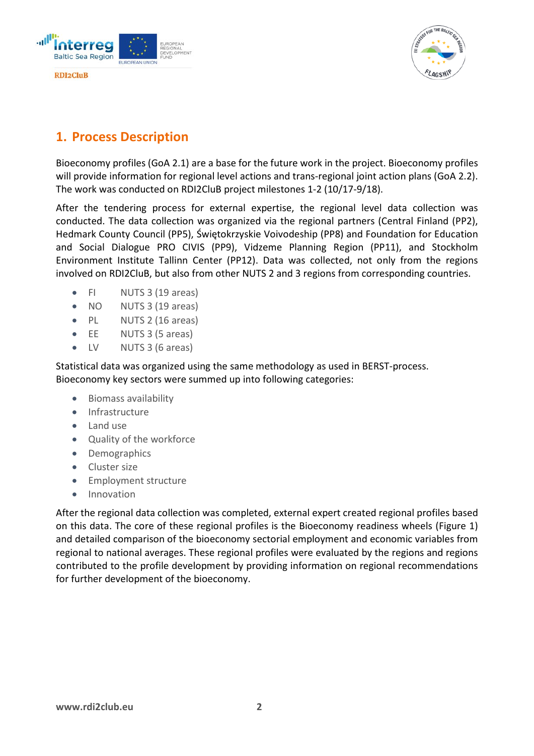



# <span id="page-3-0"></span>**1. Process Description**

Bioeconomy profiles (GoA 2.1) are a base for the future work in the project. Bioeconomy profiles will provide information for regional level actions and trans-regional joint action plans (GoA 2.2). The work was conducted on RDI2CluB project milestones 1-2 (10/17-9/18).

After the tendering process for external expertise, the regional level data collection was conducted. The data collection was organized via the regional partners (Central Finland (PP2), Hedmark County Council (PP5), Świętokrzyskie Voivodeship (PP8) and Foundation for Education and Social Dialogue PRO CIVIS (PP9), Vidzeme Planning Region (PP11), and Stockholm Environment Institute Tallinn Center (PP12). Data was collected, not only from the regions involved on RDI2CluB, but also from other NUTS 2 and 3 regions from corresponding countries.

- FI NUTS 3 (19 areas)
- NO NUTS 3 (19 areas)
- PL NUTS 2 (16 areas)
- EE NUTS 3 (5 areas)
- LV NUTS 3 (6 areas)

Statistical data was organized using the same methodology as used in BERST-process. Bioeconomy key sectors were summed up into following categories:

- Biomass availability
- Infrastructure
- Land use
- Quality of the workforce
- Demographics
- Cluster size
- Employment structure
- Innovation

After the regional data collection was completed, external expert created regional profiles based on this data. The core of these regional profiles is the Bioeconomy readiness wheels (Figure 1) and detailed comparison of the bioeconomy sectorial employment and economic variables from regional to national averages. These regional profiles were evaluated by the regions and regions contributed to the profile development by providing information on regional recommendations for further development of the bioeconomy.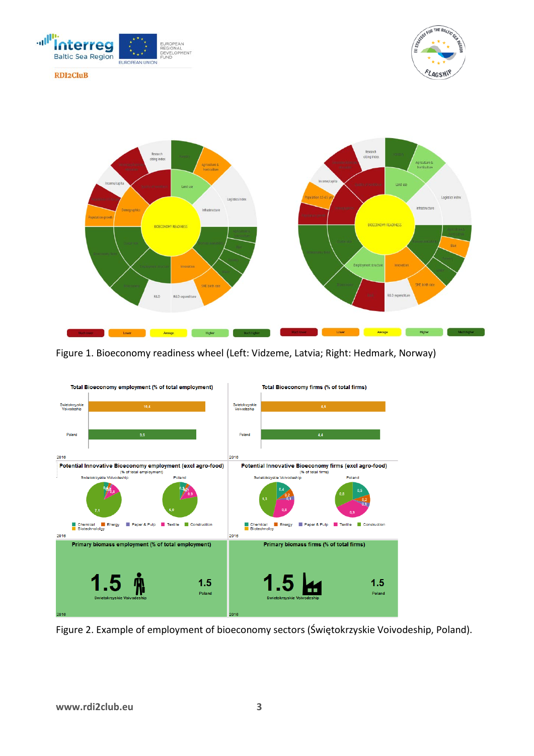





Figure 1. Bioeconomy readiness wheel (Left: Vidzeme, Latvia; Right: Hedmark, Norway)



Figure 2. Example of employment of bioeconomy sectors (Świętokrzyskie Voivodeship, Poland).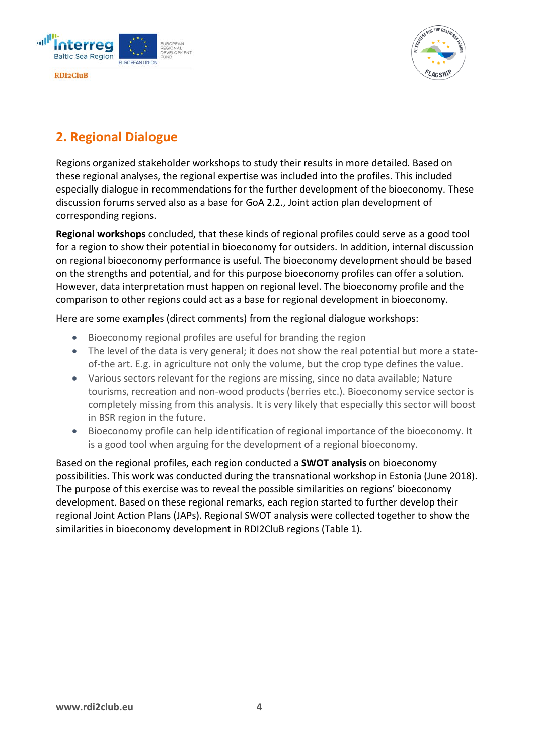



# <span id="page-5-0"></span>**2. Regional Dialogue**

Regions organized stakeholder workshops to study their results in more detailed. Based on these regional analyses, the regional expertise was included into the profiles. This included especially dialogue in recommendations for the further development of the bioeconomy. These discussion forums served also as a base for GoA 2.2., Joint action plan development of corresponding regions.

**Regional workshops** concluded, that these kinds of regional profiles could serve as a good tool for a region to show their potential in bioeconomy for outsiders. In addition, internal discussion on regional bioeconomy performance is useful. The bioeconomy development should be based on the strengths and potential, and for this purpose bioeconomy profiles can offer a solution. However, data interpretation must happen on regional level. The bioeconomy profile and the comparison to other regions could act as a base for regional development in bioeconomy.

Here are some examples (direct comments) from the regional dialogue workshops:

- Bioeconomy regional profiles are useful for branding the region
- The level of the data is very general; it does not show the real potential but more a stateof-the art. E.g. in agriculture not only the volume, but the crop type defines the value.
- Various sectors relevant for the regions are missing, since no data available; Nature tourisms, recreation and non-wood products (berries etc.). Bioeconomy service sector is completely missing from this analysis. It is very likely that especially this sector will boost in BSR region in the future.
- Bioeconomy profile can help identification of regional importance of the bioeconomy. It is a good tool when arguing for the development of a regional bioeconomy.

Based on the regional profiles, each region conducted a **SWOT analysis** on bioeconomy possibilities. This work was conducted during the transnational workshop in Estonia (June 2018). The purpose of this exercise was to reveal the possible similarities on regions' bioeconomy development. Based on these regional remarks, each region started to further develop their regional Joint Action Plans (JAPs). Regional SWOT analysis were collected together to show the similarities in bioeconomy development in RDI2CluB regions (Table 1).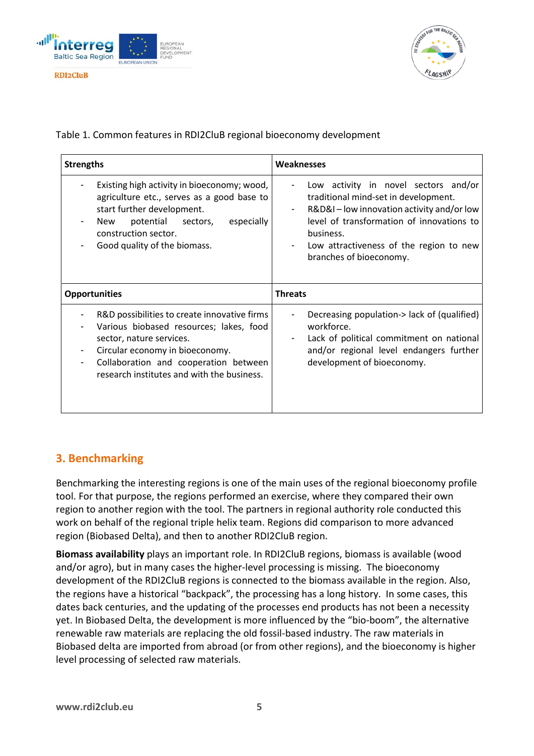



Table 1. Common features in RDI2CluB regional bioeconomy development

| <b>Strengths</b>                                                                                                                                                                                                                              | Weaknesses                                                                                                                                                                                                                                                 |
|-----------------------------------------------------------------------------------------------------------------------------------------------------------------------------------------------------------------------------------------------|------------------------------------------------------------------------------------------------------------------------------------------------------------------------------------------------------------------------------------------------------------|
| Existing high activity in bioeconomy; wood,<br>agriculture etc., serves as a good base to<br>start further development.<br>potential sectors,<br>especially<br>New<br>construction sector.<br>Good quality of the biomass.                    | Low activity in novel sectors and/or<br>traditional mind-set in development.<br>R&D&I – low innovation activity and/or low<br>level of transformation of innovations to<br>business.<br>Low attractiveness of the region to new<br>branches of bioeconomy. |
| <b>Opportunities</b>                                                                                                                                                                                                                          | <b>Threats</b>                                                                                                                                                                                                                                             |
| R&D possibilities to create innovative firms<br>Various biobased resources; lakes, food<br>sector, nature services.<br>Circular economy in bioeconomy.<br>Collaboration and cooperation between<br>research institutes and with the business. | Decreasing population-> lack of (qualified)<br>workforce.<br>Lack of political commitment on national<br>and/or regional level endangers further<br>development of bioeconomy.                                                                             |

## <span id="page-6-0"></span>**3. Benchmarking**

Benchmarking the interesting regions is one of the main uses of the regional bioeconomy profile tool. For that purpose, the regions performed an exercise, where they compared their own region to another region with the tool. The partners in regional authority role conducted this work on behalf of the regional triple helix team. Regions did comparison to more advanced region (Biobased Delta), and then to another RDI2CluB region.

**Biomass availability** plays an important role. In RDI2CluB regions, biomass is available (wood and/or agro), but in many cases the higher-level processing is missing. The bioeconomy development of the RDI2CluB regions is connected to the biomass available in the region. Also, the regions have a historical "backpack", the processing has a long history. In some cases, this dates back centuries, and the updating of the processes end products has not been a necessity yet. In Biobased Delta, the development is more influenced by the "bio-boom", the alternative renewable raw materials are replacing the old fossil-based industry. The raw materials in Biobased delta are imported from abroad (or from other regions), and the bioeconomy is higher level processing of selected raw materials.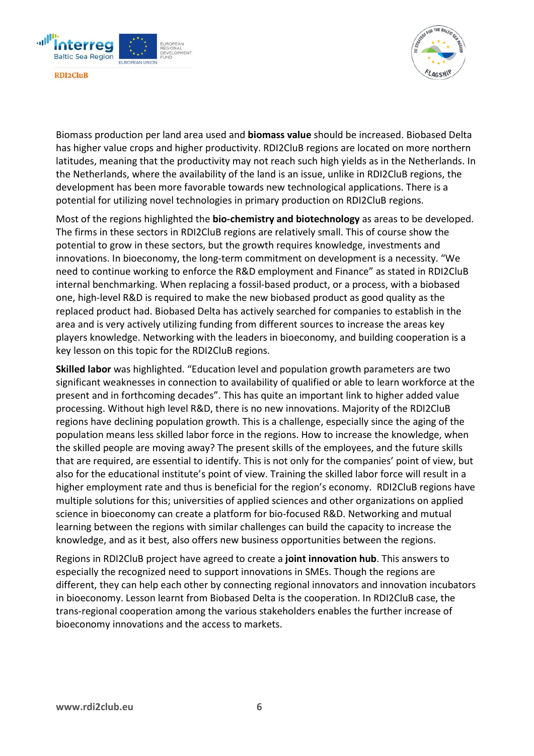



Biomass production per land area used and **biomass value** should be increased. Biobased Delta has higher value crops and higher productivity. RDI2CluB regions are located on more northern latitudes, meaning that the productivity may not reach such high yields as in the Netherlands. In the Netherlands, where the availability of the land is an issue, unlike in RDI2CluB regions, the development has been more favorable towards new technological applications. There is a potential for utilizing novel technologies in primary production on RDI2CluB regions.

Most of the regions highlighted the **bio-chemistry and biotechnology** as areas to be developed. The firms in these sectors in RDI2CluB regions are relatively small. This of course show the potential to grow in these sectors, but the growth requires knowledge, investments and innovations. In bioeconomy, the long-term commitment on development is a necessity. "We need to continue working to enforce the R&D employment and Finance" as stated in RDI2CluB internal benchmarking. When replacing a fossil-based product, or a process, with a biobased one, high-level R&D is required to make the new biobased product as good quality as the replaced product had. Biobased Delta has actively searched for companies to establish in the area and is very actively utilizing funding from different sources to increase the areas key players knowledge. Networking with the leaders in bioeconomy, and building cooperation is a key lesson on this topic for the RDI2CluB regions.

**Skilled labor** was highlighted. "Education level and population growth parameters are two significant weaknesses in connection to availability of qualified or able to learn workforce at the present and in forthcoming decades". This has quite an important link to higher added value processing. Without high level R&D, there is no new innovations. Majority of the RDI2CluB regions have declining population growth. This is a challenge, especially since the aging of the population means less skilled labor force in the regions. How to increase the knowledge, when the skilled people are moving away? The present skills of the employees, and the future skills that are required, are essential to identify. This is not only for the companies' point of view, but also for the educational institute's point of view. Training the skilled labor force will result in a higher employment rate and thus is beneficial for the region's economy. RDI2CluB regions have multiple solutions for this; universities of applied sciences and other organizations on applied science in bioeconomy can create a platform for bio-focused R&D. Networking and mutual learning between the regions with similar challenges can build the capacity to increase the knowledge, and as it best, also offers new business opportunities between the regions.

Regions in RDI2CluB project have agreed to create a **joint innovation hub**. This answers to especially the recognized need to support innovations in SMEs. Though the regions are different, they can help each other by connecting regional innovators and innovation incubators in bioeconomy. Lesson learnt from Biobased Delta is the cooperation. In RDI2CluB case, the trans-regional cooperation among the various stakeholders enables the further increase of bioeconomy innovations and the access to markets.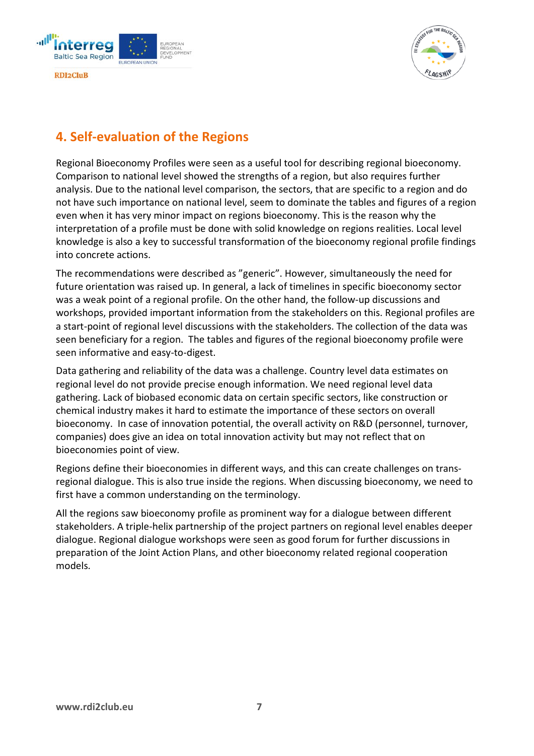



# <span id="page-8-0"></span>**4. Self-evaluation of the Regions**

Regional Bioeconomy Profiles were seen as a useful tool for describing regional bioeconomy. Comparison to national level showed the strengths of a region, but also requires further analysis. Due to the national level comparison, the sectors, that are specific to a region and do not have such importance on national level, seem to dominate the tables and figures of a region even when it has very minor impact on regions bioeconomy. This is the reason why the interpretation of a profile must be done with solid knowledge on regions realities. Local level knowledge is also a key to successful transformation of the bioeconomy regional profile findings into concrete actions.

The recommendations were described as "generic". However, simultaneously the need for future orientation was raised up. In general, a lack of timelines in specific bioeconomy sector was a weak point of a regional profile. On the other hand, the follow-up discussions and workshops, provided important information from the stakeholders on this. Regional profiles are a start-point of regional level discussions with the stakeholders. The collection of the data was seen beneficiary for a region. The tables and figures of the regional bioeconomy profile were seen informative and easy-to-digest.

Data gathering and reliability of the data was a challenge. Country level data estimates on regional level do not provide precise enough information. We need regional level data gathering. Lack of biobased economic data on certain specific sectors, like construction or chemical industry makes it hard to estimate the importance of these sectors on overall bioeconomy. In case of innovation potential, the overall activity on R&D (personnel, turnover, companies) does give an idea on total innovation activity but may not reflect that on bioeconomies point of view.

Regions define their bioeconomies in different ways, and this can create challenges on transregional dialogue. This is also true inside the regions. When discussing bioeconomy, we need to first have a common understanding on the terminology.

All the regions saw bioeconomy profile as prominent way for a dialogue between different stakeholders. A triple-helix partnership of the project partners on regional level enables deeper dialogue. Regional dialogue workshops were seen as good forum for further discussions in preparation of the Joint Action Plans, and other bioeconomy related regional cooperation models.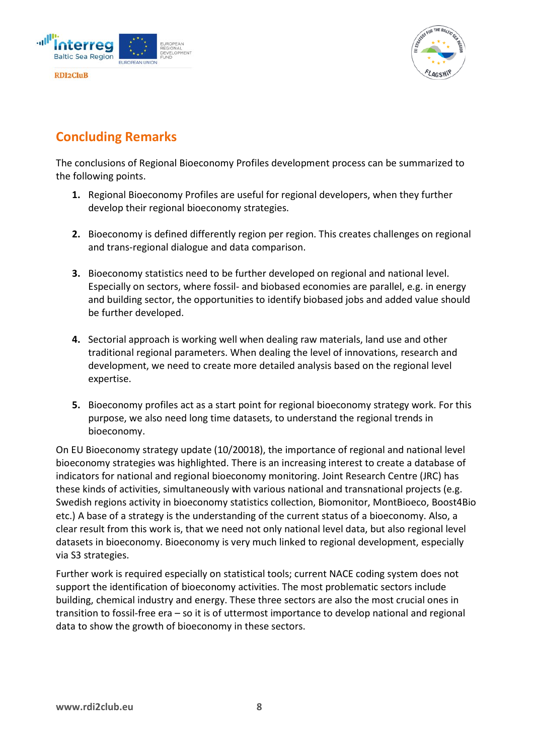



# <span id="page-9-0"></span>**Concluding Remarks**

The conclusions of Regional Bioeconomy Profiles development process can be summarized to the following points.

- **1.** Regional Bioeconomy Profiles are useful for regional developers, when they further develop their regional bioeconomy strategies.
- **2.** Bioeconomy is defined differently region per region. This creates challenges on regional and trans-regional dialogue and data comparison.
- **3.** Bioeconomy statistics need to be further developed on regional and national level. Especially on sectors, where fossil- and biobased economies are parallel, e.g. in energy and building sector, the opportunities to identify biobased jobs and added value should be further developed.
- **4.** Sectorial approach is working well when dealing raw materials, land use and other traditional regional parameters. When dealing the level of innovations, research and development, we need to create more detailed analysis based on the regional level expertise.
- **5.** Bioeconomy profiles act as a start point for regional bioeconomy strategy work. For this purpose, we also need long time datasets, to understand the regional trends in bioeconomy.

On EU Bioeconomy strategy update (10/20018), the importance of regional and national level bioeconomy strategies was highlighted. There is an increasing interest to create a database of indicators for national and regional bioeconomy monitoring. Joint Research Centre (JRC) has these kinds of activities, simultaneously with various national and transnational projects (e.g. Swedish regions activity in bioeconomy statistics collection, Biomonitor, MontBioeco, Boost4Bio etc.) A base of a strategy is the understanding of the current status of a bioeconomy. Also, a clear result from this work is, that we need not only national level data, but also regional level datasets in bioeconomy. Bioeconomy is very much linked to regional development, especially via S3 strategies.

Further work is required especially on statistical tools; current NACE coding system does not support the identification of bioeconomy activities. The most problematic sectors include building, chemical industry and energy. These three sectors are also the most crucial ones in transition to fossil-free era – so it is of uttermost importance to develop national and regional data to show the growth of bioeconomy in these sectors.